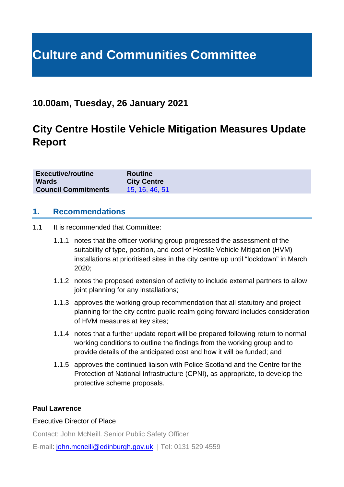# **Culture and Communities Committee**

# **10.00am, Tuesday, 26 January 2021**

# **City Centre Hostile Vehicle Mitigation Measures Update Report**

| <b>Executive/routine</b>   | <b>Routine</b>     |
|----------------------------|--------------------|
| <b>Wards</b>               | <b>City Centre</b> |
| <b>Council Commitments</b> | 15, 16, 46, 51     |

#### **1. Recommendations**

- 1.1 It is recommended that Committee:
	- 1.1.1 notes that the officer working group progressed the assessment of the suitability of type, position, and cost of Hostile Vehicle Mitigation (HVM) installations at prioritised sites in the city centre up until "lockdown" in March 2020;
	- 1.1.2 notes the proposed extension of activity to include external partners to allow joint planning for any installations:
	- 1.1.3 approves the working group recommendation that all statutory and project planning for the city centre public realm going forward includes consideration of HVM measures at key sites;
	- 1.1.4 notes that a further update report will be prepared following return to normal working conditions to outline the findings from the working group and to provide details of the anticipated cost and how it will be funded; and
	- 1.1.5 approves the continued liaison with Police Scotland and the Centre for the Protection of National Infrastructure (CPNI), as appropriate, to develop the protective scheme proposals.

#### **Paul Lawrence**

#### Executive Director of Place

Contact: John McNeill. Senior Public Safety Officer

E-mail: [john.mcneill@edinburgh.gov.uk](mailto:john.mcneill@edinburgh.gov.uk) | Tel: 0131 529 4559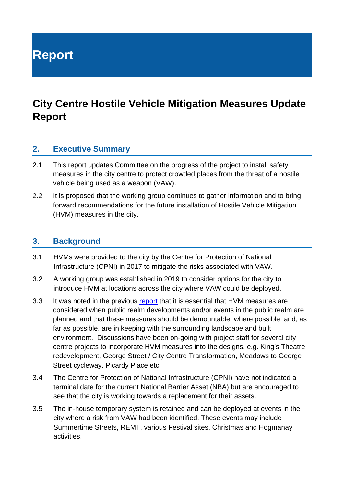**Report**

# **City Centre Hostile Vehicle Mitigation Measures Update Report**

#### **2. Executive Summary**

- 2.1 This report updates Committee on the progress of the project to install safety measures in the city centre to protect crowded places from the threat of a hostile vehicle being used as a weapon (VAW).
- 2.2 It is proposed that the working group continues to gather information and to bring forward recommendations for the future installation of Hostile Vehicle Mitigation (HVM) measures in the city.

#### **3. Background**

- 3.1 HVMs were provided to the city by the Centre for Protection of National Infrastructure (CPNI) in 2017 to mitigate the risks associated with VAW.
- 3.2 A working group was established in 2019 to consider options for the city to introduce HVM at locations across the city where VAW could be deployed.
- 3.3 It was noted in the previous [report](https://democracy.edinburgh.gov.uk/ieListDocuments.aspx?CId=139&MId=5060&Ver=4) that it is essential that HVM measures are considered when public realm developments and/or events in the public realm are planned and that these measures should be demountable, where possible, and, as far as possible, are in keeping with the surrounding landscape and built environment. Discussions have been on-going with project staff for several city centre projects to incorporate HVM measures into the designs, e.g. King's Theatre redevelopment, George Street / City Centre Transformation, Meadows to George Street cycleway, Picardy Place etc.
- 3.4 The Centre for Protection of National Infrastructure (CPNI) have not indicated a terminal date for the current National Barrier Asset (NBA) but are encouraged to see that the city is working towards a replacement for their assets.
- 3.5 The in-house temporary system is retained and can be deployed at events in the city where a risk from VAW had been identified. These events may include Summertime Streets, REMT, various Festival sites, Christmas and Hogmanay activities.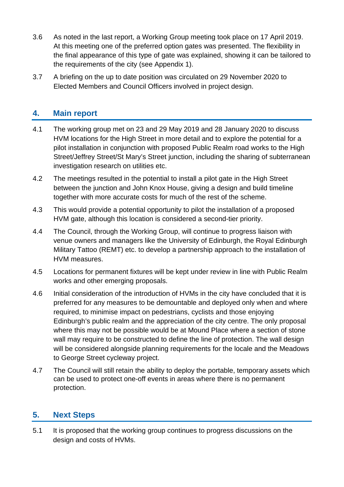- 3.6 As noted in the last report, a Working Group meeting took place on 17 April 2019. At this meeting one of the preferred option gates was presented. The flexibility in the final appearance of this type of gate was explained, showing it can be tailored to the requirements of the city (see Appendix 1).
- 3.7 A briefing on the up to date position was circulated on 29 November 2020 to Elected Members and Council Officers involved in project design.

### **4. Main report**

- 4.1 The working group met on 23 and 29 May 2019 and 28 January 2020 to discuss HVM locations for the High Street in more detail and to explore the potential for a pilot installation in conjunction with proposed Public Realm road works to the High Street/Jeffrey Street/St Mary's Street junction, including the sharing of subterranean investigation research on utilities etc.
- 4.2 The meetings resulted in the potential to install a pilot gate in the High Street between the junction and John Knox House, giving a design and build timeline together with more accurate costs for much of the rest of the scheme.
- 4.3 This would provide a potential opportunity to pilot the installation of a proposed HVM gate, although this location is considered a second-tier priority.
- 4.4 The Council, through the Working Group, will continue to progress liaison with venue owners and managers like the University of Edinburgh, the Royal Edinburgh Military Tattoo (REMT) etc. to develop a partnership approach to the installation of HVM measures.
- 4.5 Locations for permanent fixtures will be kept under review in line with Public Realm works and other emerging proposals.
- 4.6 Initial consideration of the introduction of HVMs in the city have concluded that it is preferred for any measures to be demountable and deployed only when and where required, to minimise impact on pedestrians, cyclists and those enjoying Edinburgh's public realm and the appreciation of the city centre. The only proposal where this may not be possible would be at Mound Place where a section of stone wall may require to be constructed to define the line of protection. The wall design will be considered alongside planning requirements for the locale and the Meadows to George Street cycleway project.
- 4.7 The Council will still retain the ability to deploy the portable, temporary assets which can be used to protect one-off events in areas where there is no permanent protection.

#### **5. Next Steps**

5.1 It is proposed that the working group continues to progress discussions on the design and costs of HVMs.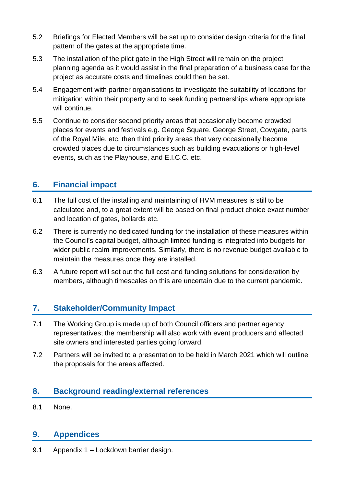- 5.2 Briefings for Elected Members will be set up to consider design criteria for the final pattern of the gates at the appropriate time.
- 5.3 The installation of the pilot gate in the High Street will remain on the project planning agenda as it would assist in the final preparation of a business case for the project as accurate costs and timelines could then be set.
- 5.4 Engagement with partner organisations to investigate the suitability of locations for mitigation within their property and to seek funding partnerships where appropriate will continue.
- 5.5 Continue to consider second priority areas that occasionally become crowded places for events and festivals e.g. George Square, George Street, Cowgate, parts of the Royal Mile, etc, then third priority areas that very occasionally become crowded places due to circumstances such as building evacuations or high-level events, such as the Playhouse, and E.I.C.C. etc.

#### **6. Financial impact**

- 6.1 The full cost of the installing and maintaining of HVM measures is still to be calculated and, to a great extent will be based on final product choice exact number and location of gates, bollards etc.
- 6.2 There is currently no dedicated funding for the installation of these measures within the Council's capital budget, although limited funding is integrated into budgets for wider public realm improvements. Similarly, there is no revenue budget available to maintain the measures once they are installed.
- 6.3 A future report will set out the full cost and funding solutions for consideration by members, although timescales on this are uncertain due to the current pandemic.

## **7. Stakeholder/Community Impact**

- 7.1 The Working Group is made up of both Council officers and partner agency representatives; the membership will also work with event producers and affected site owners and interested parties going forward.
- 7.2 Partners will be invited to a presentation to be held in March 2021 which will outline the proposals for the areas affected.

## **8. Background reading/external references**

8.1 None.

### **9. Appendices**

9.1 Appendix 1 – Lockdown barrier design.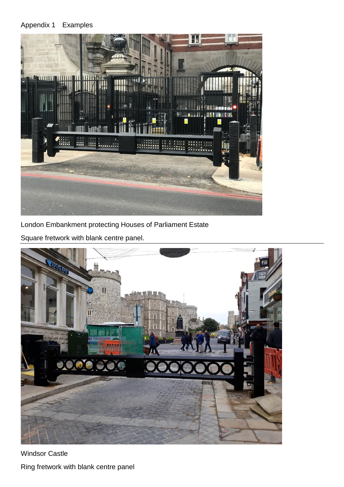#### Appendix 1 Examples



London Embankment protecting Houses of Parliament Estate

Square fretwork with blank centre panel.



Windsor Castle Ring fretwork with blank centre panel